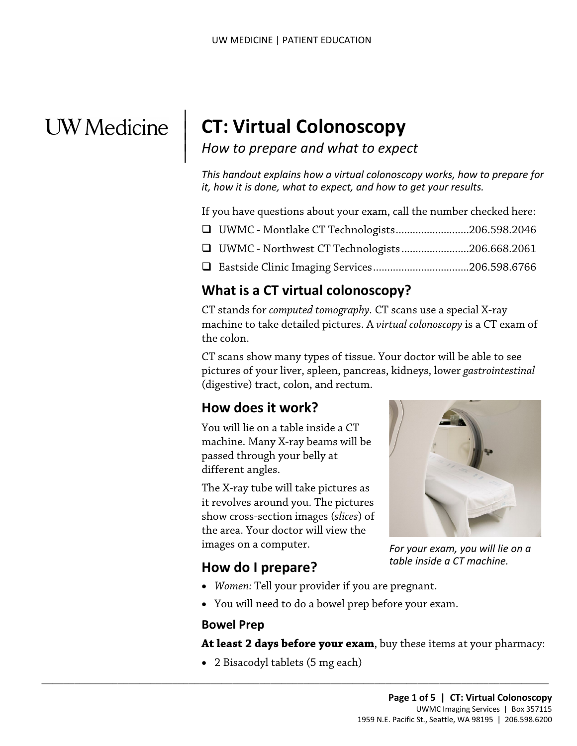# **UW** Medicine

 $\parallel$  $\vert$  $\vert$ 

## **CT: Virtual Colonoscopy**

## *How to prepare and what to expect*

*This handout explains how a virtual colonoscopy works, how to prepare for it, how it is done, what to expect, and how to get your results.*

If you have questions about your exam, call the number checked here:

- UWMC Montlake CT Technologists..........................206.598.2046
- UWMC Northwest CT Technologists........................206.668.2061
- Eastside Clinic Imaging Services..................................206.598.6766

#### **What is a CT virtual colonoscopy?**

**What is a CT virtual colonoscopy?**<br>CT stands for *computed tomography*. CT scans use a special X-ray<br>machine to take detailed pictures. A *virtual colonoscopy* is a CT exa<br>the colon.<br>CT scans show many types of tissue. Yo CT stands for *computed tomography.* CT scans use a special X-ray machine to take detailed pictures. A *virtual colonoscopy* is a CT exam of the colon.

CT scans show many types of tissue. Your doctor will be able to see pictures of your liver, spleen, pancreas, kidneys, lower *gastrointestinal* (digestive) tract, colon, and rectum.

#### **How does it work?**

You will lie on a table inside a CT machine. Many X-ray beams will be passed through your belly at different angles.

The X-ray tube will take pictures as it revolves around you. The pictures show cross-section images (*slices*) of the area. Your doctor will view the images on a computer.



*For your exam, you will lie on a table inside a CT machine.*

#### **How do I prepare?**

- *Women:* Tell your provider if you are pregnant.
- You will need to do a bowel prep before your exam.

#### **Bowel Prep**

**At least 2 days before your exam**, buy these items at your pharmacy:

• 2 Bisacodyl tablets (5 mg each)

 $\_$  ,  $\_$  ,  $\_$  ,  $\_$  ,  $\_$  ,  $\_$  ,  $\_$  ,  $\_$  ,  $\_$  ,  $\_$  ,  $\_$  ,  $\_$  ,  $\_$  ,  $\_$  ,  $\_$  ,  $\_$  ,  $\_$  ,  $\_$  ,  $\_$  ,  $\_$  ,  $\_$  ,  $\_$  ,  $\_$  ,  $\_$  ,  $\_$  ,  $\_$  ,  $\_$  ,  $\_$  ,  $\_$  ,  $\_$  ,  $\_$  ,  $\_$  ,  $\_$  ,  $\_$  ,  $\_$  ,  $\_$  ,  $\_$  ,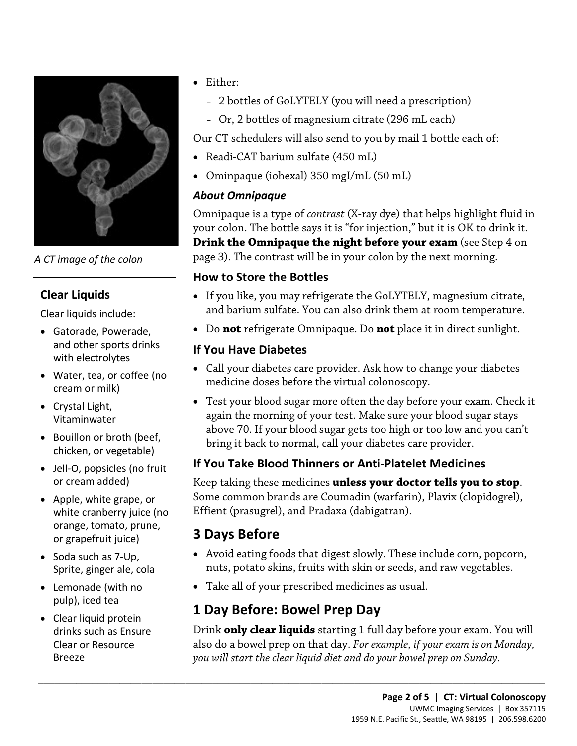

*A CT image of the colon*

#### **Clear Liquids**

Clear liquids include:

- Gatorade, Powerade, and other sports drinks with electrolytes
- Water, tea, or coffee (no cream or milk)
- Crystal Light, Vitaminwater
- Bouillon or broth (beef, chicken, or vegetable)
- Jell-O, popsicles (no fruit or cream added)
- Apple, white grape, or white cranberry juice (no orange, tomato, prune, or grapefruit juice)
- Soda such as 7-Up, Sprite, ginger ale, cola
- Lemonade (with no pulp), iced tea
- Clear liquid protein drinks such as Ensure Clear or Resource Breeze
- Either:
	- 2 bottles of GoLYTELY (you will need a prescription)
	- Or, 2 bottles of magnesium citrate (296 mL each)

Our CT schedulers will also send to you by mail 1 bottle each of:

- Readi-CAT barium sulfate (450 mL)
- Ominpaque (iohexal) 350 mgI/mL (50 mL)

#### *About Omnipaque*

Omnipaque is a type of *contrast* (X-ray dye) that helps highlight fluid in your colon. The bottle says it is "for injection," but it is OK to drink it. **Drink the Omnipaque the night before your exam** (see Step 4 on page 3). The contrast will be in your colon by the next morning.

#### **How to Store the Bottles**

- de of the colon page 3). The contrast will be in your colon by the hext morning.<br> **How to Store the Bottles**<br> **PRAFTELY**, magnesium cit<br>
unids include:<br>
and barium sulfate. You can also drink them at room temperat<br>
and bar • If you like, you may refrigerate the GoLYTELY, magnesium citrate, and barium sulfate. You can also drink them at room temperature.
	- Do **not** refrigerate Omnipaque. Do **not** place it in direct sunlight.

#### **If You Have Diabetes**

- Call your diabetes care provider. Ask how to change your diabetes medicine doses before the virtual colonoscopy.
- Test your blood sugar more often the day before your exam. Check it again the morning of your test. Make sure your blood sugar stays above 70. If your blood sugar gets too high or too low and you can't bring it back to normal, call your diabetes care provider.

#### **If You Take Blood Thinners or Anti-Platelet Medicines**

Keep taking these medicines **unless your doctor tells you to stop**. Some common brands are Coumadin (warfarin), Plavix (clopidogrel), Effient (prasugrel), and Pradaxa (dabigatran).

## **3 Days Before**

- Avoid eating foods that digest slowly. These include corn, popcorn, nuts, potato skins, fruits with skin or seeds, and raw vegetables.
- Take all of your prescribed medicines as usual.

## **1 Day Before: Bowel Prep Day**

 $\_$  ,  $\_$  ,  $\_$  ,  $\_$  ,  $\_$  ,  $\_$  ,  $\_$  ,  $\_$  ,  $\_$  ,  $\_$  ,  $\_$  ,  $\_$  ,  $\_$  ,  $\_$  ,  $\_$  ,  $\_$  ,  $\_$  ,  $\_$  ,  $\_$  ,  $\_$  ,  $\_$  ,  $\_$  ,  $\_$  ,  $\_$  ,  $\_$  ,  $\_$  ,  $\_$  ,  $\_$  ,  $\_$  ,  $\_$  ,  $\_$  ,  $\_$  ,  $\_$  ,  $\_$  ,  $\_$  ,  $\_$  ,  $\_$  ,

Drink **only clear liquids** starting 1 full day before your exam. You will also do a bowel prep on that day. *For example, if your exam is on Monday, you will start the clear liquid diet and do your bowel prep on Sunday.*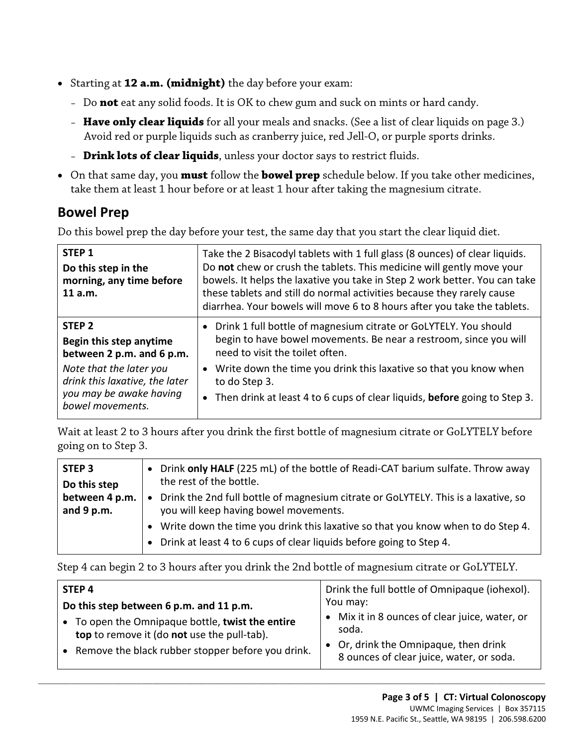- Starting at **12 a.m. (midnight)** the day before your exam:
	- Do **not** eat any solid foods. It is OK to chew gum and suck on mints or hard candy.
	- **Have only clear liquids** for all your meals and snacks. (See a list of clear liquids on page 3.) Avoid red or purple liquids such as cranberry juice, red Jell-O, or purple sports drinks.
	- **Drink lots of clear liquids**, unless your doctor says to restrict fluids.
- On that same day, you **must** follow the **bowel prep** schedule below. If you take other medicines, take them at least 1 hour before or at least 1 hour after taking the magnesium citrate.

#### **Bowel Prep**

Do this bowel prep the day before your test, the same day that you start the clear liquid diet.

| STEP <sub>1</sub><br>Do this step in the<br>morning, any time before<br>11 a.m.                          | Take the 2 Bisacodyl tablets with 1 full glass (8 ounces) of clear liquids.<br>Do not chew or crush the tablets. This medicine will gently move your<br>bowels. It helps the laxative you take in Step 2 work better. You can take<br>these tablets and still do normal activities because they rarely cause<br>diarrhea. Your bowels will move 6 to 8 hours after you take the tablets. |  |
|----------------------------------------------------------------------------------------------------------|------------------------------------------------------------------------------------------------------------------------------------------------------------------------------------------------------------------------------------------------------------------------------------------------------------------------------------------------------------------------------------------|--|
| STEP <sub>2</sub><br>Begin this step anytime<br>between 2 p.m. and 6 p.m.                                | • Drink 1 full bottle of magnesium citrate or GoLYTELY. You should<br>begin to have bowel movements. Be near a restroom, since you will<br>need to visit the toilet often.                                                                                                                                                                                                               |  |
| Note that the later you<br>drink this laxative, the later<br>you may be awake having<br>bowel movements. | Write down the time you drink this laxative so that you know when<br>to do Step 3.<br>• Then drink at least 4 to 6 cups of clear liquids, before going to Step 3.                                                                                                                                                                                                                        |  |

Wait at least 2 to 3 hours after you drink the first bottle of magnesium citrate or GoLYTELY before going on to Step 3.

| STEP <sub>3</sub><br>Do this step | • Drink only HALF (225 mL) of the bottle of Readi-CAT barium sulfate. Throw away<br>the rest of the bottle.                                                           |
|-----------------------------------|-----------------------------------------------------------------------------------------------------------------------------------------------------------------------|
| between 4 p.m.<br>and $9$ p.m.    | Drink the 2nd full bottle of magnesium citrate or GoLYTELY. This is a laxative, so<br>$\bullet$<br>you will keep having bowel movements.                              |
|                                   | • Write down the time you drink this laxative so that you know when to do Step 4.<br>Drink at least 4 to 6 cups of clear liquids before going to Step 4.<br>$\bullet$ |

Step 4 can begin 2 to 3 hours after you drink the 2nd bottle of magnesium citrate or GoLYTELY.

| STEP <sub>4</sub>                                                                                          | Drink the full bottle of Omnipaque (iohexol).                                     |
|------------------------------------------------------------------------------------------------------------|-----------------------------------------------------------------------------------|
| Do this step between 6 p.m. and 11 p.m.                                                                    | You may:                                                                          |
| To open the Omnipaque bottle, twist the entire<br>$\bullet$<br>top to remove it (do not use the pull-tab). | • Mix it in 8 ounces of clear juice, water, or<br>soda.                           |
| • Remove the black rubber stopper before you drink.                                                        | • Or, drink the Omnipaque, then drink<br>8 ounces of clear juice, water, or soda. |

 $\_$  ,  $\_$  ,  $\_$  ,  $\_$  ,  $\_$  ,  $\_$  ,  $\_$  ,  $\_$  ,  $\_$  ,  $\_$  ,  $\_$  ,  $\_$  ,  $\_$  ,  $\_$  ,  $\_$  ,  $\_$  ,  $\_$  ,  $\_$  ,  $\_$  ,  $\_$  ,  $\_$  ,  $\_$  ,  $\_$  ,  $\_$  ,  $\_$  ,  $\_$  ,  $\_$  ,  $\_$  ,  $\_$  ,  $\_$  ,  $\_$  ,  $\_$  ,  $\_$  ,  $\_$  ,  $\_$  ,  $\_$  ,  $\_$  ,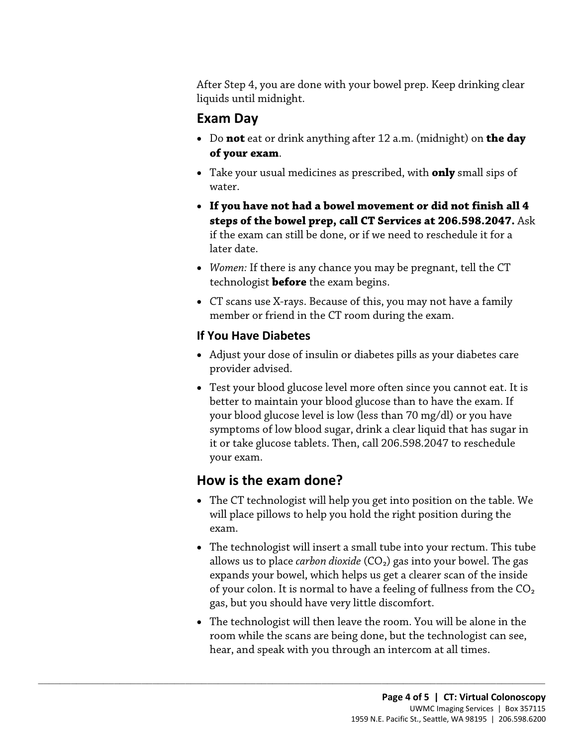After Step 4, you are done with your bowel prep. Keep drinking clear liquids until midnight.

#### **Exam Day**

- Do **not** eat or drink anything after 12 a.m. (midnight) on **the day of your exam**.
- Take your usual medicines as prescribed, with **only** small sips of water.
- **If you have not had a bowel movement or did not finish all 4 steps of the bowel prep, call CT Services at 206.598.2047.** Ask if the exam can still be done, or if we need to reschedule it for a later date.
- *Women*: If there is any chance you may be pregnant, tell the C<br>technologist **before** the exam begins.<br>• CT scans use X-rays. Because of this, you may not have a fami<br>member or friend in the CT room during the exam.<br>**If** • *Women:* If there is any chance you may be pregnant, tell the CT technologist **before** the exam begins.
	- CT scans use X-rays. Because of this, you may not have a family member or friend in the CT room during the exam.

#### **If You Have Diabetes**

- Adjust your dose of insulin or diabetes pills as your diabetes care provider advised.
- Test your blood glucose level more often since you cannot eat. It is better to maintain your blood glucose than to have the exam. If your blood glucose level is low (less than 70 mg/dl) or you have symptoms of low blood sugar, drink a clear liquid that has sugar in it or take glucose tablets. Then, call 206.598.2047 to reschedule your exam.

## **How is the exam done?**

 $\_$  ,  $\_$  ,  $\_$  ,  $\_$  ,  $\_$  ,  $\_$  ,  $\_$  ,  $\_$  ,  $\_$  ,  $\_$  ,  $\_$  ,  $\_$  ,  $\_$  ,  $\_$  ,  $\_$  ,  $\_$  ,  $\_$  ,  $\_$  ,  $\_$  ,  $\_$  ,  $\_$  ,  $\_$  ,  $\_$  ,  $\_$  ,  $\_$  ,  $\_$  ,  $\_$  ,  $\_$  ,  $\_$  ,  $\_$  ,  $\_$  ,  $\_$  ,  $\_$  ,  $\_$  ,  $\_$  ,  $\_$  ,  $\_$  ,

- The CT technologist will help you get into position on the table. We will place pillows to help you hold the right position during the exam.
- The technologist will insert a small tube into your rectum. This tube allows us to place *carbon dioxide* (CO₂) gas into your bowel. The gas expands your bowel, which helps us get a clearer scan of the inside of your colon. It is normal to have a feeling of fullness from the  $CO<sub>2</sub>$ gas, but you should have very little discomfort.
- The technologist will then leave the room. You will be alone in the room while the scans are being done, but the technologist can see, hear, and speak with you through an intercom at all times.